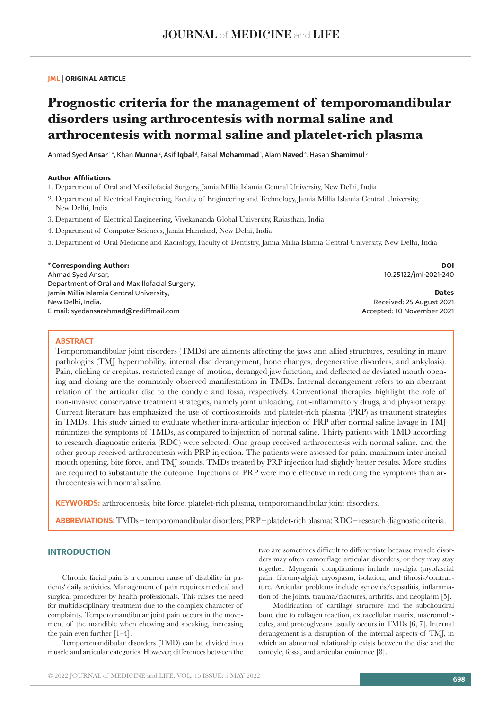## **JML | ORIGINAL ARTICLE**

# **Prognostic criteria for the management of temporomandibular disorders using arthrocentesis with normal saline and arthrocentesis with normal saline and platelet-rich plasma**

Ahmad Syed **Ansar** 1 \*, Khan **Munna** 2, Asif **Iqbal** 3, Faisal **Mohammad** 1, Alam **Naved** 4, Hasan **Shamimul**<sup>5</sup>

### **Author Affiliations**

1. Department of Oral and Maxillofacial Surgery, Jamia Millia Islamia Central University, New Delhi, India

- 2. Department of Electrical Engineering, Faculty of Engineering and Technology, Jamia Millia Islamia Central University, New Delhi, India
- 3. Department of Electrical Engineering, Vivekananda Global University, Rajasthan, India
- 4. Department of Computer Sciences, Jamia Hamdard, New Delhi, India
- 5. Department of Oral Medicine and Radiology, Faculty of Dentistry, Jamia Millia Islamia Central University, New Delhi, India

### **\*Corresponding Author:**

Ahmad Syed Ansar, Department of Oral and Maxillofacial Surgery, Jamia Millia Islamia Central University, New Delhi, India. E-mail: syedansarahmad@rediffmail.com

**DOI** 10.25122/jml-2021-240

**Dates** Received: 25 August 2021 Accepted: 10 November 2021

## **ABSTRACT**

Temporomandibular joint disorders (TMDs) are ailments affecting the jaws and allied structures, resulting in many pathologies (TMJ hypermobility, internal disc derangement, bone changes, degenerative disorders, and ankylosis). Pain, clicking or crepitus, restricted range of motion, deranged jaw function, and deflected or deviated mouth opening and closing are the commonly observed manifestations in TMDs. Internal derangement refers to an aberrant relation of the articular disc to the condyle and fossa, respectively. Conventional therapies highlight the role of non‑invasive conservative treatment strategies, namely joint unloading, anti‑inflammatory drugs, and physiotherapy. Current literature has emphasized the use of corticosteroids and platelet-rich plasma (PRP) as treatment strategies in TMDs. This study aimed to evaluate whether intra-articular injection of PRP after normal saline lavage in TMJ minimizes the symptoms of TMDs, as compared to injection of normal saline. Thirty patients with TMD according to research diagnostic criteria (RDC) were selected. One group received arthrocentesis with normal saline, and the other group received arthrocentesis with PRP injection. The patients were assessed for pain, maximum inter-incisal mouth opening, bite force, and TMJ sounds. TMDs treated by PRP injection had slightly better results. More studies are required to substantiate the outcome. Injections of PRP were more effective in reducing the symptoms than arthrocentesis with normal saline.

**KEYWORDS:** arthrocentesis, bite force, platelet-rich plasma, temporomandibular joint disorders.

**ABBREVIATIONS:** TMDs – temporomandibular disorders; PRP – platelet-rich plasma; RDC – research diagnostic criteria.

## **INTRODUCTION**

Chronic facial pain is a common cause of disability in patients' daily activities. Management of pain requires medical and surgical procedures by health professionals. This raises the need for multidisciplinary treatment due to the complex character of complaints. Temporomandibular joint pain occurs in the movement of the mandible when chewing and speaking, increasing the pain even further [1–4].

Temporomandibular disorders (TMD) can be divided into muscle and articular categories. However, differences between the two are sometimes difficult to differentiate because muscle disorders may often camouflage articular disorders, or they may stay together. Myogenic complications include myalgia (myofascial pain, fibromyalgia), myospasm, isolation, and fibrosis/contracture. Articular problems include synovitis/capsulitis, inflammation of the joints, trauma/fractures, arthritis, and neoplasm [5].

Modification of cartilage structure and the subchondral bone due to collagen reaction, extracellular matrix, macromolecules, and proteoglycans usually occurs in TMDs [6, 7]. Internal derangement is a disruption of the internal aspects of TMJ, in which an abnormal relationship exists between the disc and the condyle, fossa, and articular eminence [8].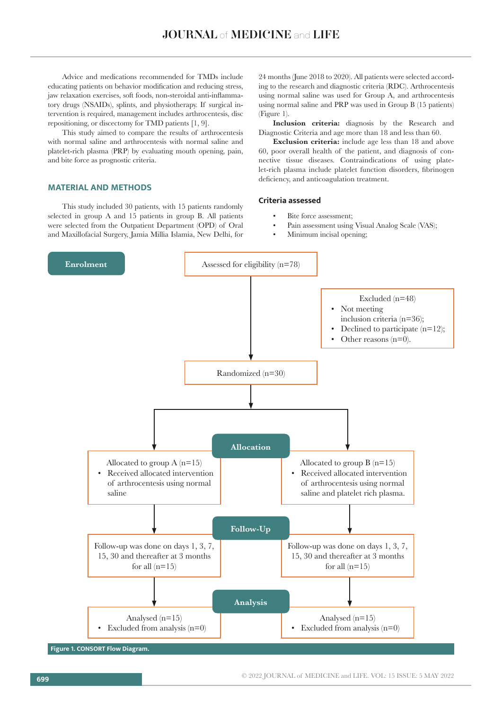Advice and medications recommended for TMDs include educating patients on behavior modification and reducing stress, jaw relaxation exercises, soft foods, non-steroidal anti-inflammatory drugs (NSAIDs), splints, and physiotherapy. If surgical intervention is required, management includes arthrocentesis, disc repositioning, or discectomy for TMD patients [1, 9].

This study aimed to compare the results of arthrocentesis with normal saline and arthrocentesis with normal saline and platelet-rich plasma (PRP) by evaluating mouth opening, pain, and bite force as prognostic criteria.

## **MATERIAL AND METHODS**

This study included 30 patients, with 15 patients randomly selected in group A and 15 patients in group B. All patients were selected from the Outpatient Department (OPD) of Oral and Maxillofacial Surgery, Jamia Millia Islamia, New Delhi, for 24 months (June 2018 to 2020). All patients were selected according to the research and diagnostic criteria (RDC). Arthrocentesis using normal saline was used for Group A, and arthrocentesis using normal saline and PRP was used in Group B (15 patients) (Figure 1).

**Inclusion criteria:** diagnosis by the Research and Diagnostic Criteria and age more than 18 and less than 60.

**Exclusion criteria:** include age less than 18 and above 60, poor overall health of the patient, and diagnosis of connective tissue diseases. Contraindications of using platelet-rich plasma include platelet function disorders, fibrinogen deficiency, and anticoagulation treatment.

## **Criteria assessed**

- Bite force assessment;
- Pain assessment using Visual Analog Scale (VAS);
- Minimum incisal opening;

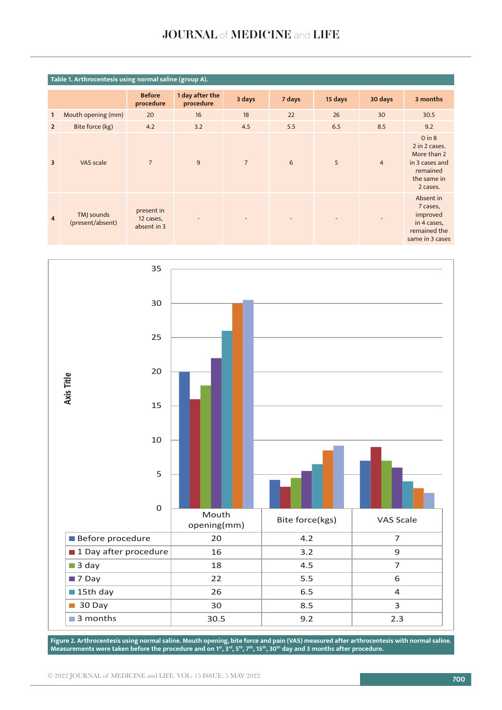## JOURNAL of MEDICINE and LIFE

|                | Table 1. Arthrocentesis using normal saline (group A). |                                        |                              |                |        |         |                |                                                                                                     |  |
|----------------|--------------------------------------------------------|----------------------------------------|------------------------------|----------------|--------|---------|----------------|-----------------------------------------------------------------------------------------------------|--|
|                |                                                        | <b>Before</b><br>procedure             | 1 day after the<br>procedure | 3 days         | 7 days | 15 days | 30 days        | 3 months                                                                                            |  |
| 1              | Mouth opening (mm)                                     | 20                                     | 16                           | 18             | 22     | 26      | 30             | 30.5                                                                                                |  |
| $\overline{2}$ | Bite force (kg)                                        | 4.2                                    | 3.2                          | 4.5            | 5.5    | 6.5     | 8.5            | 9.2                                                                                                 |  |
| $\overline{3}$ | VAS scale                                              | $\overline{7}$                         | 9                            | $\overline{7}$ | 6      | 5       | $\overline{4}$ | $0$ in $8$<br>2 in 2 cases.<br>More than 2<br>in 3 cases and<br>remained<br>the same in<br>2 cases. |  |
| $\overline{4}$ | TMJ sounds<br>(present/absent)                         | present in<br>12 cases,<br>absent in 3 | $\overline{\phantom{a}}$     | ٠              |        |         | $\overline{a}$ | Absent in<br>7 cases,<br>improved<br>in 4 cases,<br>remained the<br>same in 3 cases                 |  |



 **Figure 2. Arthrocentesis using normal saline Measurements were taken before the procedure and on 1st, 3rd, 5th, 7th, 15th, 30th day and 3 months after procedure.Figure 2. Arthrocentesis using normal saline. Mouth opening, bite force and pain (VAS) measured after arthrocentesis with normal saline.**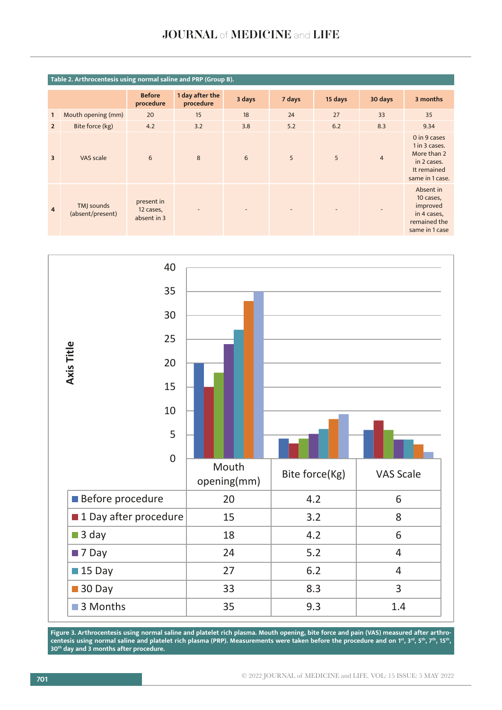## JOURNAL of MEDICINE and LIFE

|                         | Table 2. Arthrocentesis using normal saline and PRP (Group B). |                                        |                              |        |        |         |                |                                                                                               |  |
|-------------------------|----------------------------------------------------------------|----------------------------------------|------------------------------|--------|--------|---------|----------------|-----------------------------------------------------------------------------------------------|--|
|                         |                                                                | <b>Before</b><br>procedure             | 1 day after the<br>procedure | 3 days | 7 days | 15 days | 30 days        | 3 months                                                                                      |  |
| $\mathbf{1}$            | Mouth opening (mm)                                             | 20                                     | 15                           | 18     | 24     | 27      | 33             | 35                                                                                            |  |
| $\overline{2}$          | Bite force (kg)                                                | 4.2                                    | 3.2                          | 3.8    | 5.2    | 6.2     | 8.3            | 9.34                                                                                          |  |
| $\overline{\mathbf{3}}$ | VAS scale                                                      | 6                                      | 8                            | 6      | 5      | 5       | $\overline{4}$ | 0 in 9 cases<br>1 in 3 cases.<br>More than 2<br>in 2 cases.<br>It remained<br>same in 1 case. |  |
| $\overline{4}$          | TMJ sounds<br>(absent/present)                                 | present in<br>12 cases,<br>absent in 3 |                              |        |        |         |                | Absent in<br>10 cases,<br>improved<br>in 4 cases,<br>remained the<br>same in 1 case           |  |



centesis using normal saline and platelet rich plasma (PRP). Measurements were taken before the procedure and on 1**%, 3%, 5%, 7%, 15%,**<br>30<sup>th</sup> day and 3 months after procedure. **Figure 3. Arthrocentesis using normal saline and platelet rich plasma. Mouth opening, bite force and pain (VAS) measured after arthro**centesis using normal saline and platelet rich plasma (PRP). Measurements were taken before the procedure and on 1<sup>st</sup>, 3<sup>rd</sup>, 5<sup>th</sup>, 7<sup>th</sup>, 15<sup>th</sup>, **30th day and 3 months after procedure.**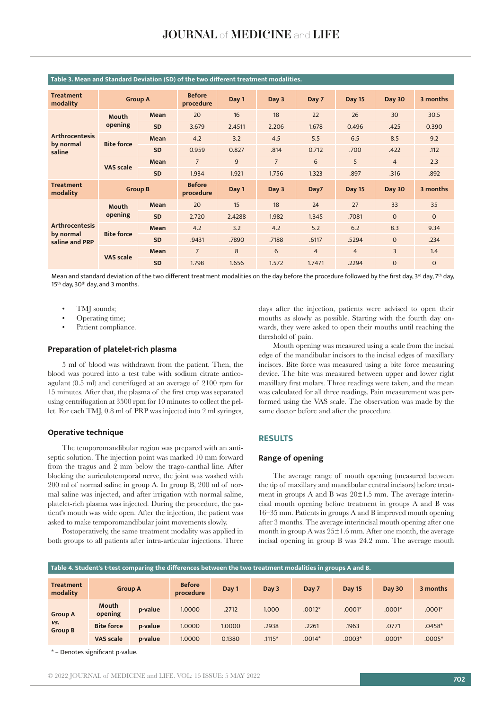| <b>Treatment</b><br>modality | <b>Group A</b>    |           | <b>Before</b><br>procedure | Day 1  | Day 3          | Day 7          | <b>Day 15</b>  | <b>Day 30</b>  | 3 months     |
|------------------------------|-------------------|-----------|----------------------------|--------|----------------|----------------|----------------|----------------|--------------|
|                              | Mouth<br>opening  | Mean      | 20                         | 16     | 18             | 22             | 26             | 30             | 30.5         |
|                              |                   | <b>SD</b> | 3.679                      | 2.4511 | 2.206          | 1.678          | 0.496          | .425           | 0.390        |
| <b>Arthrocentesis</b>        |                   | Mean      | 4.2                        | 3.2    | 4.5            | 5.5            | 6.5            | 8.5            | 9.2          |
| by normal<br>saline          | <b>Bite force</b> | <b>SD</b> | 0.959                      | 0.827  | .814           | 0.712          | .700           | .422           | .112         |
|                              | <b>VAS scale</b>  | Mean      | $\overline{7}$             | 9      | $\overline{7}$ | 6              | 5              | $\overline{4}$ | 2.3          |
|                              |                   | <b>SD</b> | 1.934                      | 1.921  | 1.756          | 1.323          | .897           | .316           | .892         |
| <b>Treatment</b><br>modality | <b>Group B</b>    |           | <b>Before</b><br>procedure | Day 1  | Day 3          | Day7           | <b>Day 15</b>  | <b>Day 30</b>  | 3 months     |
|                              | Mouth             | Mean      | 20                         | 15     | 18             | 24             | 27             | 33             | 35           |
|                              | opening           | <b>SD</b> | 2.720                      | 2.4288 | 1.982          | 1.345          | .7081          | $\mathbf{O}$   | $\mathbf{0}$ |
| <b>Arthrocentesis</b>        | <b>Bite force</b> | Mean      | 4.2                        | 3.2    | 4.2            | 5.2            | 6.2            | 8.3            | 9.34         |
| by normal<br>saline and PRP  |                   | <b>SD</b> | .9431                      | .7890  | .7188          | .6117          | .5294          | $\Omega$       | .234         |
|                              | <b>VAS</b> scale  | Mean      | $\overline{7}$             | 8      | 6              | $\overline{4}$ | $\overline{4}$ | $\overline{3}$ | 1.4          |
|                              |                   | <b>SD</b> | 1.798                      | 1.656  | 1.572          | 1.7471         | .2294          | $\Omega$       | $\Omega$     |

## **Table 3. Mean and Standard Deviation (SD) of the two different treatment modalities.**

Mean and standard deviation of the two different treatment modalities on the day before the procedure followed by the first day, 3<sup>rd</sup> day, 7<sup>th</sup> day, 15<sup>th</sup> day, 30<sup>th</sup> day, and 3 months.

- TMJ sounds;
- Operating time;
- Patient compliance.

## **Preparation of platelet-rich plasma**

5 ml of blood was withdrawn from the patient. Then, the blood was poured into a test tube with sodium citrate anticoagulant (0.5 ml) and centrifuged at an average of 2100 rpm for 15 minutes. After that, the plasma of the first crop was separated using centrifugation at 3500 rpm for 10 minutes to collect the pellet. For each TMJ, 0.8 ml of PRP was injected into 2 ml syringes,

#### **Operative technique**

The temporomandibular region was prepared with an antiseptic solution. The injection point was marked 10 mm forward from the tragus and 2 mm below the trago-canthal line. After blocking the auriculotemporal nerve, the joint was washed with 200 ml of normal saline in group A. In group B, 200 ml of normal saline was injected, and after irrigation with normal saline, platelet-rich plasma was injected. During the procedure, the patient's mouth was wide open. After the injection, the patient was asked to make temporomandibular joint movements slowly.

Postoperatively, the same treatment modality was applied in both groups to all patients after intra-articular injections. Three

days after the injection, patients were advised to open their mouths as slowly as possible. Starting with the fourth day onwards, they were asked to open their mouths until reaching the threshold of pain.

Mouth opening was measured using a scale from the incisal edge of the mandibular incisors to the incisal edges of maxillary incisors. Bite force was measured using a bite force measuring device. The bite was measured between upper and lower right maxillary first molars. Three readings were taken, and the mean was calculated for all three readings. Pain measurement was performed using the VAS scale. The observation was made by the same doctor before and after the procedure.

## **RESULTS**

## **Range of opening**

The average range of mouth opening (measured between the tip of maxillary and mandibular central incisors) before treatment in groups A and B was 20±1.5 mm. The average interincisal mouth opening before treatment in groups A and B was 16–35 mm. Patients in groups A and B improved mouth opening after 3 months. The average interincisal mouth opening after one month in group A was 25±1.6 mm. After one month, the average incisal opening in group B was 24.2 mm. The average mouth

| Table 4. Student's t-test comparing the differences between the two treatment modalities in groups A and B. |                   |         |                            |        |          |          |               |          |          |
|-------------------------------------------------------------------------------------------------------------|-------------------|---------|----------------------------|--------|----------|----------|---------------|----------|----------|
| <b>Treatment</b><br>modality                                                                                | <b>Group A</b>    |         | <b>Before</b><br>procedure | Day 1  | Day 3    | Day 7    | <b>Day 15</b> | Day 30   | 3 months |
| <b>Group A</b>                                                                                              | Mouth<br>opening  | p-value | 1.0000                     | .2712  | 1.000    | $.0012*$ | $.0001*$      | $.0001*$ | $.0001*$ |
| VS.<br><b>Group B</b>                                                                                       | <b>Bite force</b> | p-value | 1.0000                     | 1.0000 | .2938    | .2261    | .1963         | .0771    | $.0458*$ |
|                                                                                                             | <b>VAS scale</b>  | p-value | 1.0000                     | 0.1380 | $.1115*$ | $.0014*$ | $.0003*$      | $.0001*$ | $.0005*$ |

\* – Denotes significant p-value.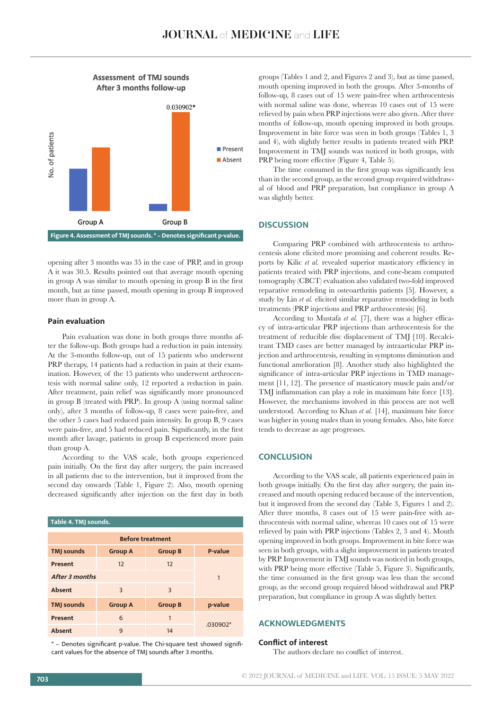

opening after 3 months was 35 in the case of PRP, and in group A it was 30.5. Results pointed out that average mouth opening in group A was similar to mouth opening in group B in the first month, but as time passed, mouth opening in group B improved more than in group A.

## **Pain evaluation**

Pain evaluation was done in both groups three months after the follow-up. Both groups had a reduction in pain intensity. At the 3-months follow-up, out of 15 patients who underwent PRP therapy, 14 patients had a reduction in pain at their examination. However, of the 15 patients who underwent arthrocentesis with normal saline only, 12 reported a reduction in pain. After treatment, pain relief was significantly more pronounced in group B (treated with PRP). In group A (using normal saline only), after 3 months of follow-up, 8 cases were pain-free, and the other 5 cases had reduced pain intensity. In group B, 9 cases were pain-free, and 5 had reduced pain. Significantly, in the first month after lavage, patients in group B experienced more pain than group A.

According to the VAS scale, both groups experienced pain initially. On the first day after surgery, the pain increased in all patients due to the intervention, but it improved from the second day onwards (Table 1, Figure 2). Also, mouth opening decreased significantly after injection on the first day in both

| Table 4. TMJ sounds.    |                |                |            |  |  |  |  |  |  |
|-------------------------|----------------|----------------|------------|--|--|--|--|--|--|
| <b>Before treatment</b> |                |                |            |  |  |  |  |  |  |
| <b>TMJ</b> sounds       | <b>Group A</b> | <b>Group B</b> | P-value    |  |  |  |  |  |  |
| Present                 | 12             | 12             |            |  |  |  |  |  |  |
| <b>After 3 months</b>   | 1              |                |            |  |  |  |  |  |  |
| Absent                  | 3              | $\mathbf{3}$   |            |  |  |  |  |  |  |
| <b>TMJ</b> sounds       | <b>Group A</b> | <b>Group B</b> | p-value    |  |  |  |  |  |  |
| Present                 | 6              | 1              |            |  |  |  |  |  |  |
| Absent                  | 9              | 14             | $.030902*$ |  |  |  |  |  |  |

\* – Denotes significant p-value. The Chi-square test showed significant values for the absence of TMJ sounds after 3 months.

groups (Tables 1 and 2, and Figures 2 and 3), but as time passed, mouth opening improved in both the groups. After 3-months of follow-up, 8 cases out of 15 were pain-free when arthrocentesis with normal saline was done, whereas 10 cases out of 15 were relieved by pain when PRP injections were also given. After three months of follow-up, mouth opening improved in both groups. Improvement in bite force was seen in both groups (Tables 1, 3 and 4), with slightly better results in patients treated with PRP. Improvement in TMJ sounds was noticed in both groups, with PRP being more effective (Figure 4, Table 5).

The time consumed in the first group was significantly less than in the second group, as the second group required withdrawal of blood and PRP preparation, but compliance in group A was slightly better.

#### **DISCUSSION**

Comparing PRP combined with arthrocentesis to arthrocentesis alone elicited more promising and coherent results. Reports by Kilic *et al.* revealed superior masticatory efficiency in patients treated with PRP injections, and cone-beam computed tomography (CBCT) evaluation also validated two-fold improved reparative remodeling in osteoarthritis patients [5]. However, a study by Lin *et al.* elicited similar reparative remodeling in both treatments (PRP injections and PRP arthrocentesis) [6].

According to Mustafa *et al.* [7], there was a higher efficacy of intra-articular PRP injections than arthrocentesis for the treatment of reducible disc displacement of TMJ [10]. Recalcitrant TMD cases are better managed by intraarticular PRP injection and arthrocentesis, resulting in symptoms diminution and functional amelioration [8]. Another study also highlighted the significance of intra-articular PRP injections in TMD management [11, 12]. The presence of masticatory muscle pain and/or TMJ inflammation can play a role in maximum bite force [13]. However, the mechanisms involved in this process are not well understood. According to Khan *et al.* [14], maximum bite force was higher in young males than in young females. Also, bite force tends to decrease as age progresses.

## **CONCLUSION**

According to the VAS scale, all patients experienced pain in both groups initially. On the first day after surgery, the pain increased and mouth opening reduced because of the intervention, but it improved from the second day (Table 3, Figures 1 and 2). After three months, 8 cases out of 15 were pain-free with arthrocentesis with normal saline, whereas 10 cases out of 15 were relieved by pain with PRP injections (Tables 2, 3 and 4). Mouth opening improved in both groups. Improvement in bite force was seen in both groups, with a slight improvement in patients treated by PRP. Improvement in TMJ sounds was noticed in both groups, with PRP being more effective (Table 5, Figure 3). Significantly, the time consumed in the first group was less than the second group, as the second group required blood withdrawal and PRP preparation, but compliance in group A was slightly better.

## **ACKNOWLEDGMENTS**

#### **Conflict of interest**

The authors declare no conflict of interest.